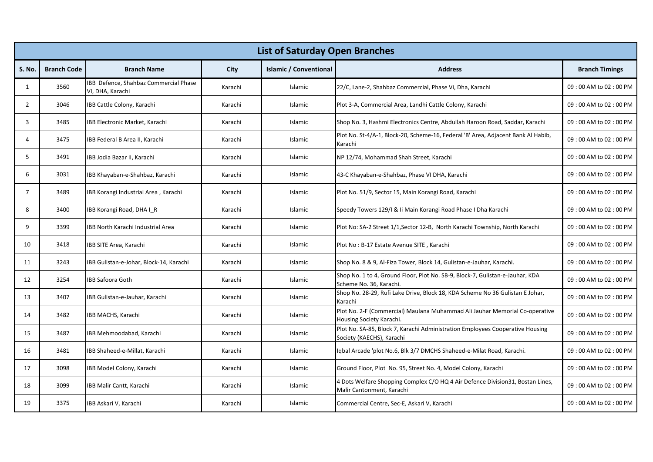|                | <b>List of Saturday Open Branches</b> |                                                           |         |                               |                                                                                                             |                       |  |
|----------------|---------------------------------------|-----------------------------------------------------------|---------|-------------------------------|-------------------------------------------------------------------------------------------------------------|-----------------------|--|
| S. No.         | <b>Branch Code</b>                    | <b>Branch Name</b>                                        | City    | <b>Islamic / Conventional</b> | <b>Address</b>                                                                                              | <b>Branch Timings</b> |  |
| 1              | 3560                                  | IBB Defence, Shahbaz Commercial Phase<br>VI, DHA, Karachi | Karachi | Islamic                       | 22/C, Lane-2, Shahbaz Commercial, Phase Vi, Dha, Karachi                                                    | 09:00 AM to 02:00 PM  |  |
| $\overline{2}$ | 3046                                  | BB Cattle Colony, Karachi                                 | Karachi | Islamic                       | Plot 3-A, Commercial Area, Landhi Cattle Colony, Karachi                                                    | 09:00 AM to 02:00 PM  |  |
| 3              | 3485                                  | <b>BB Electronic Market, Karachi</b>                      | Karachi | Islamic                       | Shop No. 3, Hashmi Electronics Centre, Abdullah Haroon Road, Saddar, Karachi                                | 09:00 AM to 02:00 PM  |  |
| $\overline{a}$ | 3475                                  | BB Federal B Area II, Karachi                             | Karachi | Islamic                       | Plot No. St-4/A-1, Block-20, Scheme-16, Federal 'B' Area, Adjacent Bank Al Habib,<br>Karachi                | 09:00 AM to 02:00 PM  |  |
| 5              | 3491                                  | IBB Jodia Bazar II, Karachi                               | Karachi | Islamic                       | NP 12/74, Mohammad Shah Street, Karachi                                                                     | 09:00 AM to 02:00 PM  |  |
| 6              | 3031                                  | BB Khayaban-e-Shahbaz, Karachi                            | Karachi | Islamic                       | 43-C Khayaban-e-Shahbaz, Phase VI DHA, Karachi                                                              | 09:00 AM to 02:00 PM  |  |
| $\overline{7}$ | 3489                                  | IBB Korangi Industrial Area, Karachi                      | Karachi | Islamic                       | Plot No. 51/9, Sector 15, Main Korangi Road, Karachi                                                        | 09:00 AM to 02:00 PM  |  |
| 8              | 3400                                  | BB Korangi Road, DHA I R                                  | Karachi | Islamic                       | Speedy Towers 129/I & Ii Main Korangi Road Phase I Dha Karachi                                              | 09:00 AM to 02:00 PM  |  |
| 9              | 3399                                  | BB North Karachi Industrial Area                          | Karachi | Islamic                       | Plot No: SA-2 Street 1/1, Sector 12-B, North Karachi Township, North Karachi                                | 09:00 AM to 02:00 PM  |  |
| 10             | 3418                                  | BB SITE Area, Karachi                                     | Karachi | Islamic                       | Plot No: B-17 Estate Avenue SITE, Karachi                                                                   | 09:00 AM to 02:00 PM  |  |
| 11             | 3243                                  | BB Gulistan-e-Johar, Block-14, Karachi                    | Karachi | Islamic                       | Shop No. 8 & 9, Al-Fiza Tower, Block 14, Gulistan-e-Jauhar, Karachi.                                        | 09:00 AM to 02:00 PM  |  |
| 12             | 3254                                  | <b>BB Safoora Goth</b>                                    | Karachi | Islamic                       | Shop No. 1 to 4, Ground Floor, Plot No. SB-9, Block-7, Gulistan-e-Jauhar, KDA<br>Scheme No. 36, Karachi.    | 09:00 AM to 02:00 PM  |  |
| 13             | 3407                                  | BB Gulistan-e-Jauhar, Karachi                             | Karachi | Islamic                       | Shop No. 28-29, Rufi Lake Drive, Block 18, KDA Scheme No 36 Gulistan E Johar,<br>Karachi                    | 09:00 AM to 02:00 PM  |  |
| 14             | 3482                                  | IBB MACHS, Karachi                                        | Karachi | Islamic                       | Plot No. 2-F (Commercial) Maulana Muhammad Ali Jauhar Memorial Co-operative<br>Housing Society Karachi.     | 09:00 AM to 02:00 PM  |  |
| 15             | 3487                                  | BB Mehmoodabad, Karachi                                   | Karachi | Islamic                       | Plot No. SA-85, Block 7, Karachi Administration Employees Cooperative Housing<br>Society (KAECHS), Karachi  | 09:00 AM to 02:00 PM  |  |
| 16             | 3481                                  | IBB Shaheed-e-Millat, Karachi                             | Karachi | Islamic                       | Igbal Arcade 'plot No.6, Blk 3/7 DMCHS Shaheed-e-Milat Road, Karachi.                                       | 09:00 AM to 02:00 PM  |  |
| 17             | 3098                                  | BB Model Colony, Karachi                                  | Karachi | Islamic                       | Ground Floor, Plot No. 95, Street No. 4, Model Colony, Karachi                                              | 09:00 AM to 02:00 PM  |  |
| 18             | 3099                                  | <b>BB Malir Cantt, Karachi</b>                            | Karachi | Islamic                       | 4 Dots Welfare Shopping Complex C/O HQ 4 Air Defence Division31, Bostan Lines,<br>Malir Cantonment, Karachi | 09:00 AM to 02:00 PM  |  |
| 19             | 3375                                  | BB Askari V, Karachi                                      | Karachi | Islamic                       | Commercial Centre, Sec-E, Askari V, Karachi                                                                 | 09:00 AM to 02:00 PM  |  |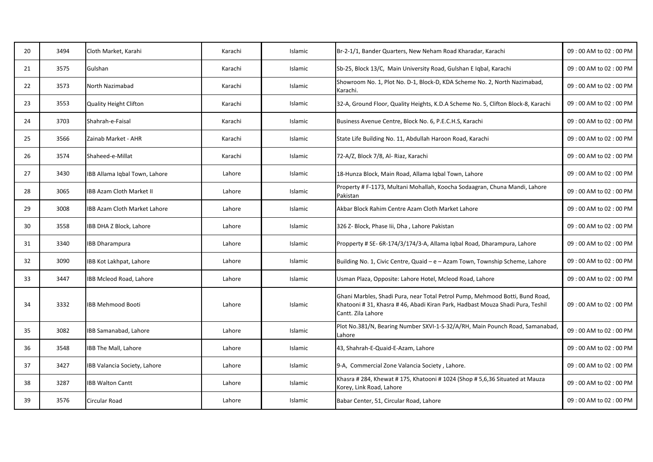| 20 | 3494 | Cloth Market, Karahi            | Karachi | Islamic | Br-2-1/1, Bander Quarters, New Neham Road Kharadar, Karachi                                                                                                                          | 09:00 AM to 02:00 PM |
|----|------|---------------------------------|---------|---------|--------------------------------------------------------------------------------------------------------------------------------------------------------------------------------------|----------------------|
| 21 | 3575 | Gulshan                         | Karachi | Islamic | Sb-25, Block 13/C, Main University Road, Gulshan E Igbal, Karachi                                                                                                                    | 09:00 AM to 02:00 PM |
| 22 | 3573 | North Nazimabad                 | Karachi | Islamic | Showroom No. 1, Plot No. D-1, Block-D, KDA Scheme No. 2, North Nazimabad,<br>Karachi.                                                                                                | 09:00 AM to 02:00 PM |
| 23 | 3553 | <b>Quality Height Clifton</b>   | Karachi | Islamic | 32-A, Ground Floor, Quality Heights, K.D.A Scheme No. 5, Clifton Block-8, Karachi                                                                                                    | 09:00 AM to 02:00 PM |
| 24 | 3703 | Shahrah-e-Faisal                | Karachi | Islamic | Business Avenue Centre, Block No. 6, P.E.C.H.S, Karachi                                                                                                                              | 09:00 AM to 02:00 PM |
| 25 | 3566 | Zainab Market - AHR             | Karachi | Islamic | State Life Building No. 11, Abdullah Haroon Road, Karachi                                                                                                                            | 09:00 AM to 02:00 PM |
| 26 | 3574 | Shaheed-e-Millat                | Karachi | Islamic | 72-A/Z, Block 7/8, Al- Riaz, Karachi                                                                                                                                                 | 09:00 AM to 02:00 PM |
| 27 | 3430 | IBB Allama Iqbal Town, Lahore   | Lahore  | Islamic | 18-Hunza Block, Main Road, Allama Iqbal Town, Lahore                                                                                                                                 | 09:00 AM to 02:00 PM |
| 28 | 3065 | <b>IBB Azam Cloth Market II</b> | Lahore  | Islamic | Property # F-1173, Multani Mohallah, Koocha Sodaagran, Chuna Mandi, Lahore<br>Pakistan                                                                                               | 09:00 AM to 02:00 PM |
| 29 | 3008 | IBB Azam Cloth Market Lahore    | Lahore  | Islamic | Akbar Block Rahim Centre Azam Cloth Market Lahore                                                                                                                                    | 09:00 AM to 02:00 PM |
| 30 | 3558 | IBB DHA Z Block, Lahore         | Lahore  | Islamic | 326 Z- Block, Phase Iii, Dha , Lahore Pakistan                                                                                                                                       | 09:00 AM to 02:00 PM |
| 31 | 3340 | <b>IBB Dharampura</b>           | Lahore  | Islamic | Propperty # SE- 6R-174/3/174/3-A, Allama Iqbal Road, Dharampura, Lahore                                                                                                              | 09:00 AM to 02:00 PM |
| 32 | 3090 | IBB Kot Lakhpat, Lahore         | Lahore  | Islamic | Building No. 1, Civic Centre, Quaid - e - Azam Town, Township Scheme, Lahore                                                                                                         | 09:00 AM to 02:00 PM |
| 33 | 3447 | IBB Mcleod Road, Lahore         | Lahore  | Islamic | Usman Plaza, Opposite: Lahore Hotel, Mcleod Road, Lahore                                                                                                                             | 09:00 AM to 02:00 PM |
| 34 | 3332 | <b>IBB Mehmood Booti</b>        | Lahore  | Islamic | Ghani Marbles, Shadi Pura, near Total Petrol Pump, Mehmood Botti, Bund Road,<br>Khatooni # 31, Khasra # 46, Abadi Kiran Park, Hadbast Mouza Shadi Pura, Teshil<br>Cantt. Zila Lahore | 09:00 AM to 02:00 PM |
| 35 | 3082 | IBB Samanabad, Lahore           | Lahore  | Islamic | Plot No.381/N, Bearing Number SXVI-1-S-32/A/RH, Main Pounch Road, Samanabad,<br>Lahore                                                                                               | 09:00 AM to 02:00 PM |
| 36 | 3548 | IBB The Mall, Lahore            | Lahore  | Islamic | 43, Shahrah-E-Quaid-E-Azam, Lahore                                                                                                                                                   | 09:00 AM to 02:00 PM |
| 37 | 3427 | IBB Valancia Society, Lahore    | Lahore  | Islamic | 9-A, Commercial Zone Valancia Society, Lahore.                                                                                                                                       | 09:00 AM to 02:00 PM |
| 38 | 3287 | <b>IBB Walton Cantt</b>         | Lahore  | Islamic | Khasra # 284, Khewat # 175, Khatooni # 1024 (Shop # 5,6,36 Situated at Mauza<br>Korey, Link Road, Lahore                                                                             | 09:00 AM to 02:00 PM |
| 39 | 3576 | Circular Road                   | Lahore  | Islamic | Babar Center, 51, Circular Road, Lahore                                                                                                                                              | 09:00 AM to 02:00 PM |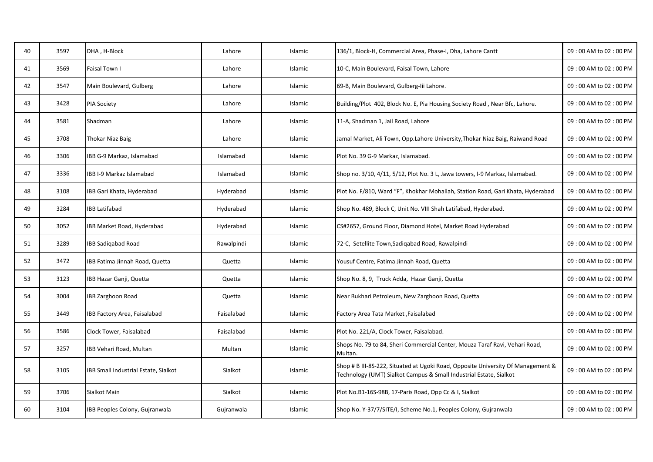| 40 | 3597 | DHA, H-Block                         | Lahore     | Islamic        | 136/1, Block-H, Commercial Area, Phase-I, Dha, Lahore Cantt                                                                                            | 09:00 AM to 02:00 PM |
|----|------|--------------------------------------|------------|----------------|--------------------------------------------------------------------------------------------------------------------------------------------------------|----------------------|
| 41 | 3569 | Faisal Town I                        | Lahore     | Islamic        | 10-C, Main Boulevard, Faisal Town, Lahore                                                                                                              | 09:00 AM to 02:00 PM |
| 42 | 3547 | Main Boulevard, Gulberg              | Lahore     | Islamic        | 69-B, Main Boulevard, Gulberg-lii Lahore.                                                                                                              | 09:00 AM to 02:00 PM |
| 43 | 3428 | <b>PIA Society</b>                   | Lahore     | Islamic        | Building/Plot 402, Block No. E, Pia Housing Society Road, Near Bfc, Lahore.                                                                            | 09:00 AM to 02:00 PM |
| 44 | 3581 | Shadman                              | Lahore     | Islamic        | 11-A, Shadman 1, Jail Road, Lahore                                                                                                                     | 09:00 AM to 02:00 PM |
| 45 | 3708 | Thokar Niaz Baig                     | Lahore     | Islamic        | Jamal Market, Ali Town, Opp.Lahore University, Thokar Niaz Baig, Raiwand Road                                                                          | 09:00 AM to 02:00 PM |
| 46 | 3306 | IBB G-9 Markaz, Islamabad            | Islamabad  | Islamic        | Plot No. 39 G-9 Markaz, Islamabad.                                                                                                                     | 09:00 AM to 02:00 PM |
| 47 | 3336 | IBB I-9 Markaz Islamabad             | Islamabad  | Islamic        | Shop no. 3/10, 4/11, 5/12, Plot No. 3 L, Jawa towers, I-9 Markaz, Islamabad.                                                                           | 09:00 AM to 02:00 PM |
| 48 | 3108 | IBB Gari Khata, Hyderabad            | Hyderabad  | Islamic        | Plot No. F/810, Ward "F", Khokhar Mohallah, Station Road, Gari Khata, Hyderabad                                                                        | 09:00 AM to 02:00 PM |
| 49 | 3284 | <b>IBB Latifabad</b>                 | Hyderabad  | Islamic        | Shop No. 489, Block C, Unit No. VIII Shah Latifabad, Hyderabad.                                                                                        | 09:00 AM to 02:00 PM |
| 50 | 3052 | IBB Market Road, Hyderabad           | Hyderabad  | Islamic        | CS#2657, Ground Floor, Diamond Hotel, Market Road Hyderabad                                                                                            | 09:00 AM to 02:00 PM |
| 51 | 3289 | <b>IBB Sadigabad Road</b>            | Rawalpindi | Islamic        | 72-C, Setellite Town, Sadiqabad Road, Rawalpindi                                                                                                       | 09:00 AM to 02:00 PM |
| 52 | 3472 | IBB Fatima Jinnah Road, Quetta       | Quetta     | Islamic        | Yousuf Centre, Fatima Jinnah Road, Quetta                                                                                                              | 09:00 AM to 02:00 PM |
| 53 | 3123 | IBB Hazar Ganji, Quetta              | Quetta     | Islamic        | Shop No. 8, 9, Truck Adda, Hazar Ganji, Quetta                                                                                                         | 09:00 AM to 02:00 PM |
| 54 | 3004 | <b>IBB Zarghoon Road</b>             | Quetta     | Islamic        | Near Bukhari Petroleum, New Zarghoon Road, Quetta                                                                                                      | 09:00 AM to 02:00 PM |
| 55 | 3449 | IBB Factory Area, Faisalabad         | Faisalabad | Islamic        | Factory Area Tata Market, Faisalabad                                                                                                                   | 09:00 AM to 02:00 PM |
| 56 | 3586 | Clock Tower, Faisalabad              | Faisalabad | Islamic        | Plot No. 221/A, Clock Tower, Faisalabad.                                                                                                               | 09:00 AM to 02:00 PM |
| 57 | 3257 | IBB Vehari Road, Multan              | Multan     | Islamic        | Shops No. 79 to 84, Sheri Commercial Center, Mouza Taraf Ravi, Vehari Road,<br>Multan.                                                                 | 09:00 AM to 02:00 PM |
| 58 | 3105 | IBB Small Industrial Estate, Sialkot | Sialkot    | <b>Islamic</b> | Shop # B III-8S-222, Situated at Ugoki Road, Opposite University Of Management &<br>Technology (UMT) Sialkot Campus & Small Industrial Estate, Sialkot | 09:00 AM to 02:00 PM |
| 59 | 3706 | Sialkot Main                         | Sialkot    | Islamic        | Plot No.B1-16S-98B, 17-Paris Road, Opp Cc & I, Sialkot                                                                                                 | 09:00 AM to 02:00 PM |
| 60 | 3104 | IBB Peoples Colony, Gujranwala       | Gujranwala | Islamic        | Shop No. Y-37/7/SITE/I, Scheme No.1, Peoples Colony, Guiranwala                                                                                        | 09:00 AM to 02:00 PM |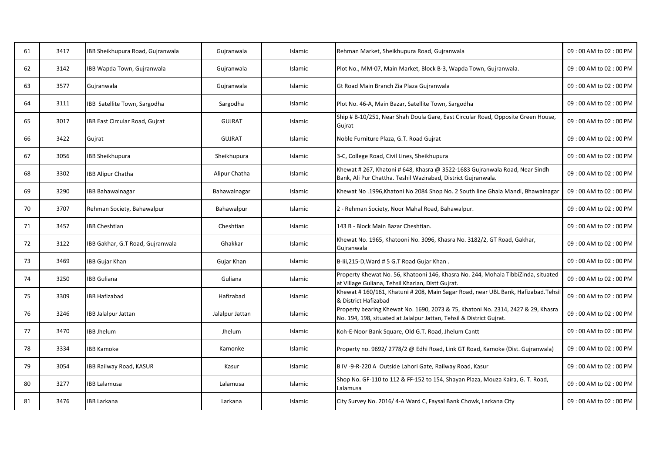| 61 | 3417 | IBB Sheikhupura Road, Gujranwala | Gujranwala      | Islamic | Rehman Market, Sheikhupura Road, Gujranwala                                                                                                              | 09:00 AM to 02:00 PM |
|----|------|----------------------------------|-----------------|---------|----------------------------------------------------------------------------------------------------------------------------------------------------------|----------------------|
| 62 | 3142 | IBB Wapda Town, Gujranwala       | Gujranwala      | Islamic | Plot No., MM-07, Main Market, Block B-3, Wapda Town, Gujranwala.                                                                                         | 09:00 AM to 02:00 PM |
| 63 | 3577 | Gujranwala                       | Gujranwala      | Islamic | Gt Road Main Branch Zia Plaza Gujranwala                                                                                                                 | 09:00 AM to 02:00 PM |
| 64 | 3111 | IBB Satellite Town, Sargodha     | Sargodha        | Islamic | Plot No. 46-A, Main Bazar, Satellite Town, Sargodha                                                                                                      | 09:00 AM to 02:00 PM |
| 65 | 3017 | IBB East Circular Road, Gujrat   | <b>GUJRAT</b>   | Islamic | Ship # B-10/251, Near Shah Doula Gare, East Circular Road, Opposite Green House,<br>Gujrat                                                               | 09:00 AM to 02:00 PM |
| 66 | 3422 | Gujrat                           | <b>GUJRAT</b>   | Islamic | Noble Furniture Plaza, G.T. Road Guirat                                                                                                                  | 09:00 AM to 02:00 PM |
| 67 | 3056 | IBB Sheikhupura                  | Sheikhupura     | Islamic | 3-C, College Road, Civil Lines, Sheikhupura                                                                                                              | 09:00 AM to 02:00 PM |
| 68 | 3302 | <b>IBB Alipur Chatha</b>         | Alipur Chatha   | Islamic | Khewat # 267, Khatoni # 648, Khasra @ 3522-1683 Gujranwala Road, Near Sindh<br>Bank, Ali Pur Chattha. Teshil Wazirabad, District Gujranwala.             | 09:00 AM to 02:00 PM |
| 69 | 3290 | <b>IBB Bahawalnagar</b>          | Bahawalnagar    | Islamic | Khewat No .1996, Khatoni No 2084 Shop No. 2 South line Ghala Mandi, Bhawalnagar                                                                          | 09:00 AM to 02:00 PM |
| 70 | 3707 | Rehman Society, Bahawalpur       | Bahawalpur      | Islamic | 2 - Rehman Society, Noor Mahal Road, Bahawalpur.                                                                                                         | 09:00 AM to 02:00 PM |
| 71 | 3457 | <b>IBB Cheshtian</b>             | Cheshtian       | Islamic | 143 B - Block Main Bazar Cheshtian.                                                                                                                      | 09:00 AM to 02:00 PM |
| 72 | 3122 | IBB Gakhar, G.T Road, Gujranwala | Ghakkar         | Islamic | Khewat No. 1965, Khatooni No. 3096, Khasra No. 3182/2, GT Road, Gakhar,<br>Gujranwala                                                                    | 09:00 AM to 02:00 PM |
| 73 | 3469 | <b>IBB Gujar Khan</b>            | Gujar Khan      | Islamic | B-lii,215-D, Ward # 5 G.T Road Gujar Khan.                                                                                                               | 09:00 AM to 02:00 PM |
| 74 | 3250 | <b>IBB Guliana</b>               | Guliana         | Islamic | Property Khewat No. 56, Khatooni 146, Khasra No. 244, Mohala TibbiZinda, situated<br>at Village Guliana, Tehsil Kharian, Distt Gujrat.                   | 09:00 AM to 02:00 PM |
| 75 | 3309 | <b>IBB Hafizabad</b>             | Hafizabad       | Islamic | Khewat # 160/161, Khatuni # 208, Main Sagar Road, near UBL Bank, Hafizabad.Tehsi<br>& District Hafizabad                                                 | 09:00 AM to 02:00 PM |
| 76 | 3246 | IBB Jalalpur Jattan              | Jalalpur Jattan | Islamic | Property bearing Khewat No. 1690, 2073 & 75, Khatoni No. 2314, 2427 & 29, Khasra<br>No. 194, 198, situated at Jalalpur Jattan, Tehsil & District Gujrat. | 09:00 AM to 02:00 PM |
| 77 | 3470 | <b>IBB Jhelum</b>                | Jhelum          | Islamic | Koh-E-Noor Bank Square, Old G.T. Road, Jhelum Cantt                                                                                                      | 09:00 AM to 02:00 PM |
| 78 | 3334 | <b>IBB Kamoke</b>                | Kamonke         | Islamic | Property no. 9692/2778/2 @ Edhi Road, Link GT Road, Kamoke (Dist. Gujranwala)                                                                            | 09:00 AM to 02:00 PM |
| 79 | 3054 | <b>IBB Railway Road, KASUR</b>   | Kasur           | Islamic | B IV -9-R-220 A Outside Lahori Gate, Railway Road, Kasur                                                                                                 | 09:00 AM to 02:00 PM |
| 80 | 3277 | <b>IBB Lalamusa</b>              | Lalamusa        | Islamic | Shop No. GF-110 to 112 & FF-152 to 154, Shayan Plaza, Mouza Kaira, G. T. Road,<br>Lalamusa                                                               | 09:00 AM to 02:00 PM |
| 81 | 3476 | <b>IBB Larkana</b>               | Larkana         | Islamic | City Survey No. 2016/4-A Ward C, Faysal Bank Chowk, Larkana City                                                                                         | 09:00 AM to 02:00 PM |